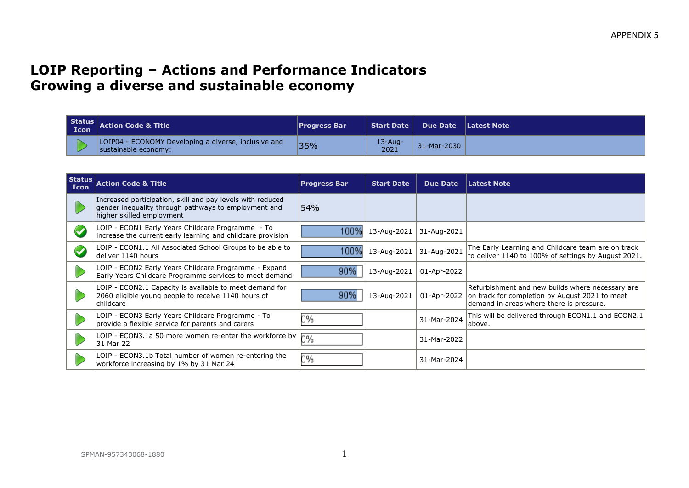## **LOIP Reporting – Actions and Performance Indicators Growing a diverse and sustainable economy**

| <b>Icon</b> | Status $\vert$ Action Code & Title                                           | <b>Progress Bar</b> |                    | Start Date   Due Date   Latest Note |  |
|-------------|------------------------------------------------------------------------------|---------------------|--------------------|-------------------------------------|--|
|             | LOIP04 - ECONOMY Developing a diverse, inclusive and<br>sustainable economy: | 35%                 | $13$ -Aug-<br>2021 | 31-Mar-2030                         |  |

| $ \textsf{Status} $<br><b>Icon</b> | <b>Action Code &amp; Title</b>                                                                                                                  | <b>Progress Bar</b> | <b>Start Date</b> | <b>Due Date</b> | <b>Latest Note</b>                                                                                                                             |
|------------------------------------|-------------------------------------------------------------------------------------------------------------------------------------------------|---------------------|-------------------|-----------------|------------------------------------------------------------------------------------------------------------------------------------------------|
|                                    | Increased participation, skill and pay levels with reduced<br>gender inequality through pathways to employment and<br>higher skilled employment | 54%                 |                   |                 |                                                                                                                                                |
| $\blacktriangledown$               | LOIP - ECON1 Early Years Childcare Programme - To<br>increase the current early learning and childcare provision                                | 100%                | 13-Aug-2021       | 31-Aug-2021     |                                                                                                                                                |
|                                    | LOIP - ECON1.1 All Associated School Groups to be able to<br>deliver 1140 hours                                                                 | 100%                | 13-Aug-2021       | 31-Aug-2021     | The Early Learning and Childcare team are on track<br>to deliver 1140 to 100% of settings by August 2021.                                      |
|                                    | LOIP - ECON2 Early Years Childcare Programme - Expand<br>Early Years Childcare Programme services to meet demand                                | 90%                 | 13-Aug-2021       | 01-Apr-2022     |                                                                                                                                                |
|                                    | LOIP - ECON2.1 Capacity is available to meet demand for<br>2060 eligible young people to receive 1140 hours of<br>childcare                     | 90%                 | 13-Aug-2021       | 01-Apr-2022     | Refurbishment and new builds where necessary are<br>on track for completion by August 2021 to meet<br>demand in areas where there is pressure. |
|                                    | LOIP - ECON3 Early Years Childcare Programme - To<br>provide a flexible service for parents and carers                                          | 0%                  |                   | 31-Mar-2024     | This will be delivered through ECON1.1 and ECON2.1<br>labove.                                                                                  |
|                                    | LOIP - ECON3.1a 50 more women re-enter the workforce by<br>31 Mar 22                                                                            | $0\%$               |                   | 31-Mar-2022     |                                                                                                                                                |
|                                    | LOIP - ECON3.1b Total number of women re-entering the<br>workforce increasing by 1% by 31 Mar 24                                                | 0%                  |                   | 31-Mar-2024     |                                                                                                                                                |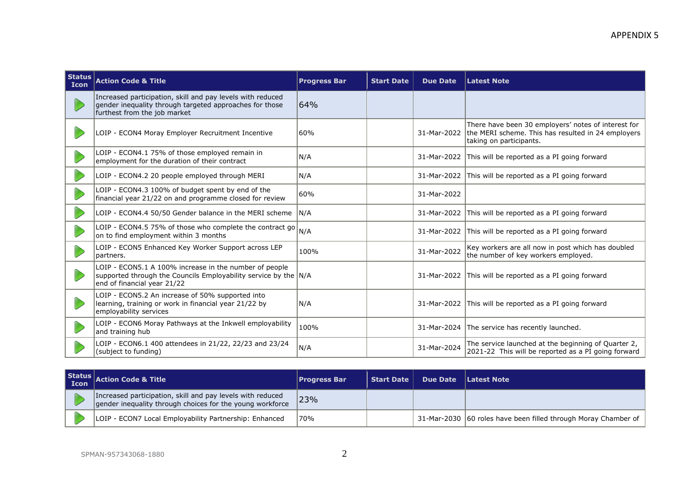| <b>Status</b><br><b>Icon</b> | <b>Action Code &amp; Title</b>                                                                                                                           | <b>Progress Bar</b> | <b>Start Date</b> | <b>Due Date</b> | <b>Latest Note</b>                                                                                                                   |
|------------------------------|----------------------------------------------------------------------------------------------------------------------------------------------------------|---------------------|-------------------|-----------------|--------------------------------------------------------------------------------------------------------------------------------------|
|                              | Increased participation, skill and pay levels with reduced<br>gender inequality through targeted approaches for those<br>furthest from the job market    | 64%                 |                   |                 |                                                                                                                                      |
|                              | LOIP - ECON4 Moray Employer Recruitment Incentive                                                                                                        | 60%                 |                   | 31-Mar-2022     | There have been 30 employers' notes of interest for<br>the MERI scheme. This has resulted in 24 employers<br>taking on participants. |
|                              | LOIP - ECON4.1 75% of those employed remain in<br>employment for the duration of their contract                                                          | N/A                 |                   | 31-Mar-2022     | This will be reported as a PI going forward                                                                                          |
|                              | LOIP - ECON4.2 20 people employed through MERI                                                                                                           | N/A                 |                   | 31-Mar-2022     | This will be reported as a PI going forward                                                                                          |
|                              | LOIP - ECON4.3 100% of budget spent by end of the<br>financial year 21/22 on and programme closed for review                                             | 60%                 |                   | 31-Mar-2022     |                                                                                                                                      |
|                              | LOIP - ECON4.4 50/50 Gender balance in the MERI scheme                                                                                                   | N/A                 |                   | 31-Mar-2022     | This will be reported as a PI going forward                                                                                          |
|                              | LOIP - ECON4.5 75% of those who complete the contract go<br>on to find employment within 3 months                                                        | IN/A                |                   | 31-Mar-2022     | This will be reported as a PI going forward                                                                                          |
|                              | LOIP - ECON5 Enhanced Key Worker Support across LEP<br>partners.                                                                                         | 100%                |                   | 31-Mar-2022     | Key workers are all now in post which has doubled<br>the number of key workers employed.                                             |
|                              | LOIP - ECON5.1 A 100% increase in the number of people<br>supported through the Councils Employability service by the N/A<br>end of financial year 21/22 |                     |                   |                 | 31-Mar-2022 This will be reported as a PI going forward                                                                              |
|                              | LOIP - ECON5.2 An increase of 50% supported into<br>learning, training or work in financial year 21/22 by<br>employability services                      | N/A                 |                   |                 | 31-Mar-2022 This will be reported as a PI going forward                                                                              |
|                              | LOIP - ECON6 Moray Pathways at the Inkwell employability<br>and training hub                                                                             | 100%                |                   |                 | 31-Mar-2024 The service has recently launched.                                                                                       |
|                              | LOIP - ECON6.1 400 attendees in 21/22, 22/23 and 23/24<br>(subject to funding)                                                                           | N/A                 |                   | 31-Mar-2024     | The service launched at the beginning of Quarter 2,<br>2021-22 This will be reported as a PI going forward                           |

| Status | <b>Icon</b> Action Code & Title                                                                                         | <b>Progress Bar</b> | <b>Start Date</b> | <b>Due Date</b> | Latest Note                                                      |
|--------|-------------------------------------------------------------------------------------------------------------------------|---------------------|-------------------|-----------------|------------------------------------------------------------------|
|        | Increased participation, skill and pay levels with reduced<br>gender inequality through choices for the young workforce | 23%                 |                   |                 |                                                                  |
|        | LOIP - ECON7 Local Employability Partnership: Enhanced                                                                  | 70%                 |                   |                 | 31-Mar-2030   60 roles have been filled through Moray Chamber of |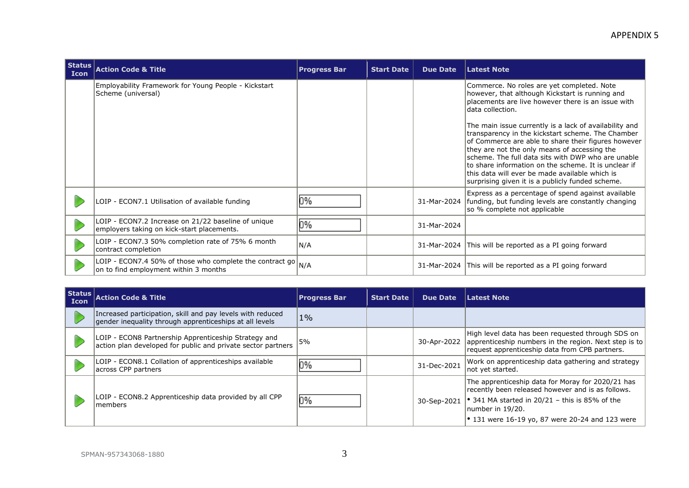| Status $ $<br><b>Icon</b> | <b>Action Code &amp; Title</b>                                                                             | <b>Progress Bar</b> | <b>Start Date</b> | <b>Due Date</b> | <b>Latest Note</b>                                                                                                                                                                                                                                                                                                                                                                                                                                                                                                                                                                                                |
|---------------------------|------------------------------------------------------------------------------------------------------------|---------------------|-------------------|-----------------|-------------------------------------------------------------------------------------------------------------------------------------------------------------------------------------------------------------------------------------------------------------------------------------------------------------------------------------------------------------------------------------------------------------------------------------------------------------------------------------------------------------------------------------------------------------------------------------------------------------------|
|                           | Employability Framework for Young People - Kickstart<br>Scheme (universal)                                 |                     |                   |                 | Commerce. No roles are yet completed. Note<br>however, that although Kickstart is running and<br>placements are live however there is an issue with<br>data collection.<br>The main issue currently is a lack of availability and<br>transparency in the kickstart scheme. The Chamber<br>of Commerce are able to share their figures however<br>they are not the only means of accessing the<br>scheme. The full data sits with DWP who are unable<br>to share information on the scheme. It is unclear if<br>this data will ever be made available which is<br>surprising given it is a publicly funded scheme. |
|                           | LOIP - ECON7.1 Utilisation of available funding                                                            | 0%                  |                   | 31-Mar-2024     | Express as a percentage of spend against available<br>funding, but funding levels are constantly changing<br>so % complete not applicable                                                                                                                                                                                                                                                                                                                                                                                                                                                                         |
|                           | LOIP - ECON7.2 Increase on 21/22 baseline of unique<br>employers taking on kick-start placements.          | 0%                  |                   | 31-Mar-2024     |                                                                                                                                                                                                                                                                                                                                                                                                                                                                                                                                                                                                                   |
|                           | LOIP - ECON7.3 50% completion rate of 75% 6 month<br>contract completion                                   | N/A                 |                   | 31-Mar-2024     | This will be reported as a PI going forward                                                                                                                                                                                                                                                                                                                                                                                                                                                                                                                                                                       |
|                           | LOIP - ECON7.4 50% of those who complete the contract go $_{N/A}$<br>on to find employment within 3 months |                     |                   | 31-Mar-2024     | This will be reported as a PI going forward                                                                                                                                                                                                                                                                                                                                                                                                                                                                                                                                                                       |

| Status  <br><b>Icon</b> | <b>Action Code &amp; Title</b>                                                                                        | <b>Progress Bar</b> | <b>Start Date</b> | <b>Due Date</b> | <b>Latest Note</b>                                                                                                                                           |
|-------------------------|-----------------------------------------------------------------------------------------------------------------------|---------------------|-------------------|-----------------|--------------------------------------------------------------------------------------------------------------------------------------------------------------|
|                         | Increased participation, skill and pay levels with reduced<br>gender inequality through apprenticeships at all levels | $1\%$               |                   |                 |                                                                                                                                                              |
|                         | LOIP - ECON8 Partnership Apprenticeship Strategy and<br>action plan developed for public and private sector partners  | 5%                  |                   | 30-Apr-2022     | High level data has been reguested through SDS on<br>apprenticeship numbers in the region. Next step is to<br>request apprenticeship data from CPB partners. |
|                         | LOIP - ECON8.1 Collation of apprenticeships available<br>across CPP partners                                          | ህ%                  |                   | 31-Dec-2021     | Work on apprenticeship data gathering and strategy<br>not yet started.                                                                                       |
|                         | LOIP - ECON8.2 Apprenticeship data provided by all CPP<br>members                                                     | 0%                  |                   | 30-Sep-2021     | The apprenticeship data for Moray for 2020/21 has<br>recently been released however and is as follows.                                                       |
|                         |                                                                                                                       |                     |                   |                 | • 341 MA started in 20/21 - this is 85% of the<br>number in 19/20.                                                                                           |
|                         |                                                                                                                       |                     |                   |                 | $\bullet$ 131 were 16-19 yo, 87 were 20-24 and 123 were                                                                                                      |